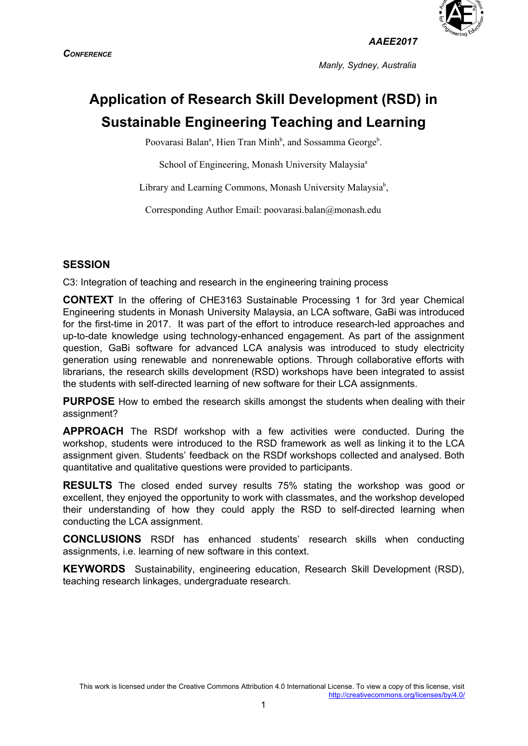



*AAEE2017*

*Manly, Sydney, Australia*

# **Application of Research Skill Development (RSD) in Sustainable Engineering Teaching and Learning**

Poovarasi Balan<sup>a</sup>, Hien Tran Minh<sup>b</sup>, and Sossamma George<sup>b</sup>.

School of Engineering, Monash University Malaysia<sup>a</sup>

Library and Learning Commons, Monash University Malaysia<sup>b</sup>,

Corresponding Author Email: poovarasi.balan@monash.edu

#### **SESSION**

C3: Integration of teaching and research in the engineering training process

**CONTEXT** In the offering of CHE3163 Sustainable Processing 1 for 3rd year Chemical Engineering students in Monash University Malaysia, an LCA software, GaBi was introduced for the first-time in 2017. It was part of the effort to introduce research-led approaches and up-to-date knowledge using technology-enhanced engagement. As part of the assignment question, GaBi software for advanced LCA analysis was introduced to study electricity generation using renewable and nonrenewable options. Through collaborative efforts with librarians, the research skills development (RSD) workshops have been integrated to assist the students with self-directed learning of new software for their LCA assignments.

**PURPOSE** How to embed the research skills amongst the students when dealing with their assignment?

**APPROACH** The RSDf workshop with a few activities were conducted. During the workshop, students were introduced to the RSD framework as well as linking it to the LCA assignment given. Students' feedback on the RSDf workshops collected and analysed. Both quantitative and qualitative questions were provided to participants.

**RESULTS** The closed ended survey results 75% stating the workshop was good or excellent, they enjoyed the opportunity to work with classmates, and the workshop developed their understanding of how they could apply the RSD to self-directed learning when conducting the LCA assignment.

**CONCLUSIONS** RSDf has enhanced students' research skills when conducting assignments, i.e. learning of new software in this context.

**KEYWORDS** Sustainability, engineering education, Research Skill Development (RSD), teaching research linkages, undergraduate research.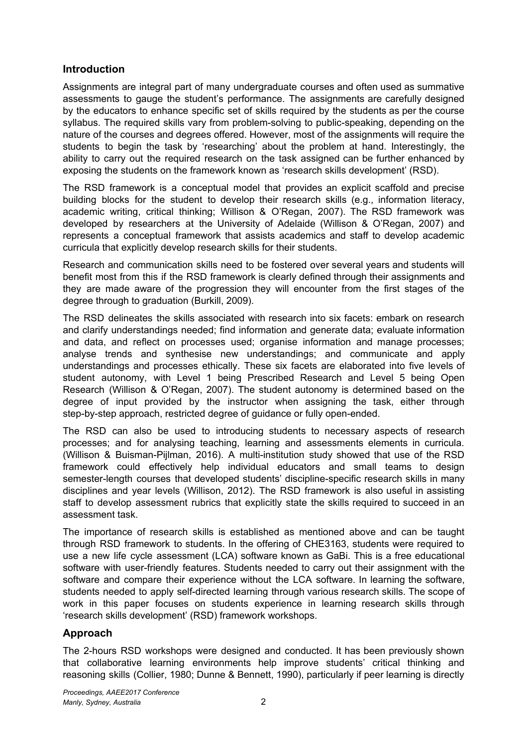### **Introduction**

Assignments are integral part of many undergraduate courses and often used as summative assessments to gauge the student's performance. The assignments are carefully designed by the educators to enhance specific set of skills required by the students as per the course syllabus. The required skills vary from problem-solving to public-speaking, depending on the nature of the courses and degrees offered. However, most of the assignments will require the students to begin the task by 'researching' about the problem at hand. Interestingly, the ability to carry out the required research on the task assigned can be further enhanced by exposing the students on the framework known as 'research skills development' (RSD).

The RSD framework is a conceptual model that provides an explicit scaffold and precise building blocks for the student to develop their research skills (e.g., information literacy, academic writing, critical thinking; Willison & O'Regan, 2007). The RSD framework was developed by researchers at the University of Adelaide (Willison & O'Regan, 2007) and represents a conceptual framework that assists academics and staff to develop academic curricula that explicitly develop research skills for their students.

Research and communication skills need to be fostered over several years and students will benefit most from this if the RSD framework is clearly defined through their assignments and they are made aware of the progression they will encounter from the first stages of the degree through to graduation (Burkill, 2009).

The RSD delineates the skills associated with research into six facets: embark on research and clarify understandings needed; find information and generate data; evaluate information and data, and reflect on processes used; organise information and manage processes; analyse trends and synthesise new understandings; and communicate and apply understandings and processes ethically. These six facets are elaborated into five levels of student autonomy, with Level 1 being Prescribed Research and Level 5 being Open Research (Willison & O'Regan, 2007). The student autonomy is determined based on the degree of input provided by the instructor when assigning the task, either through step-by-step approach, restricted degree of guidance or fully open-ended.

The RSD can also be used to introducing students to necessary aspects of research processes; and for analysing teaching, learning and assessments elements in curricula. (Willison & Buisman-Pijlman, 2016). A multi-institution study showed that use of the RSD framework could effectively help individual educators and small teams to design semester-length courses that developed students' discipline-specific research skills in many disciplines and year levels (Willison, 2012). The RSD framework is also useful in assisting staff to develop assessment rubrics that explicitly state the skills required to succeed in an assessment task.

The importance of research skills is established as mentioned above and can be taught through RSD framework to students. In the offering of CHE3163, students were required to use a new life cycle assessment (LCA) software known as GaBi. This is a free educational software with user-friendly features. Students needed to carry out their assignment with the software and compare their experience without the LCA software. In learning the software, students needed to apply self-directed learning through various research skills. The scope of work in this paper focuses on students experience in learning research skills through 'research skills development' (RSD) framework workshops.

## **Approach**

The 2-hours RSD workshops were designed and conducted. It has been previously shown that collaborative learning environments help improve students' critical thinking and reasoning skills (Collier, 1980; Dunne & Bennett, 1990), particularly if peer learning is directly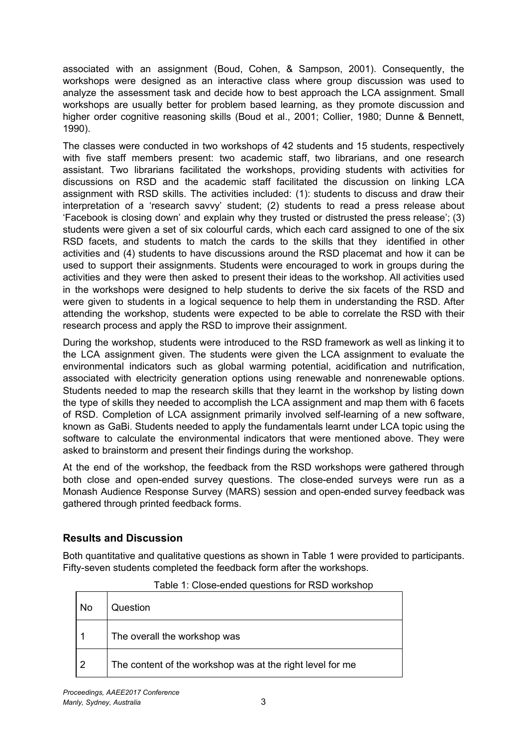associated with an assignment (Boud, Cohen, & Sampson, 2001). Consequently, the workshops were designed as an interactive class where group discussion was used to analyze the assessment task and decide how to best approach the LCA assignment. Small workshops are usually better for problem based learning, as they promote discussion and higher order cognitive reasoning skills (Boud et al., 2001; Collier, 1980; Dunne & Bennett, 1990).

The classes were conducted in two workshops of 42 students and 15 students, respectively with five staff members present: two academic staff, two librarians, and one research assistant. Two librarians facilitated the workshops, providing students with activities for discussions on RSD and the academic staff facilitated the discussion on linking LCA assignment with RSD skills. The activities included: (1): students to discuss and draw their interpretation of a 'research savvy' student; (2) students to read a press release about 'Facebook is closing down' and explain why they trusted or distrusted the press release'; (3) students were given a set of six colourful cards, which each card assigned to one of the six RSD facets, and students to match the cards to the skills that they identified in other activities and (4) students to have discussions around the RSD placemat and how it can be used to support their assignments. Students were encouraged to work in groups during the activities and they were then asked to present their ideas to the workshop. All activities used in the workshops were designed to help students to derive the six facets of the RSD and were given to students in a logical sequence to help them in understanding the RSD. After attending the workshop, students were expected to be able to correlate the RSD with their research process and apply the RSD to improve their assignment.

During the workshop, students were introduced to the RSD framework as well as linking it to the LCA assignment given. The students were given the LCA assignment to evaluate the environmental indicators such as global warming potential, acidification and nutrification, associated with electricity generation options using renewable and nonrenewable options. Students needed to map the research skills that they learnt in the workshop by listing down the type of skills they needed to accomplish the LCA assignment and map them with 6 facets of RSD. Completion of LCA assignment primarily involved self-learning of a new software, known as GaBi. Students needed to apply the fundamentals learnt under LCA topic using the software to calculate the environmental indicators that were mentioned above. They were asked to brainstorm and present their findings during the workshop.

At the end of the workshop, the feedback from the RSD workshops were gathered through both close and open-ended survey questions. The close-ended surveys were run as a Monash Audience Response Survey (MARS) session and open-ended survey feedback was gathered through printed feedback forms.

## **Results and Discussion**

Both quantitative and qualitative questions as shown in Table 1 were provided to participants. Fifty-seven students completed the feedback form after the workshops.

| No | Question                                                  |
|----|-----------------------------------------------------------|
|    | The overall the workshop was                              |
| -2 | The content of the workshop was at the right level for me |

Table 1: Close-ended questions for RSD workshop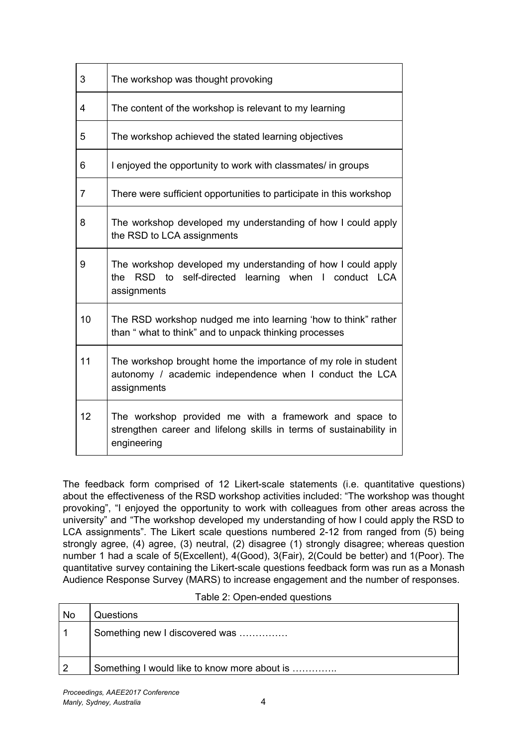| 3              | The workshop was thought provoking                                                                                                           |
|----------------|----------------------------------------------------------------------------------------------------------------------------------------------|
| 4              | The content of the workshop is relevant to my learning                                                                                       |
| 5              | The workshop achieved the stated learning objectives                                                                                         |
| 6              | I enjoyed the opportunity to work with classmates/ in groups                                                                                 |
| $\overline{7}$ | There were sufficient opportunities to participate in this workshop                                                                          |
| 8              | The workshop developed my understanding of how I could apply<br>the RSD to LCA assignments                                                   |
| 9              | The workshop developed my understanding of how I could apply<br>RSD to self-directed learning when I conduct LCA<br>the<br>assignments       |
| 10             | The RSD workshop nudged me into learning 'how to think' rather<br>than " what to think" and to unpack thinking processes                     |
| 11             | The workshop brought home the importance of my role in student<br>autonomy / academic independence when I conduct the LCA<br>assignments     |
| 12             | The workshop provided me with a framework and space to<br>strengthen career and lifelong skills in terms of sustainability in<br>engineering |

The feedback form comprised of 12 Likert-scale statements (i.e. quantitative questions) about the effectiveness of the RSD workshop activities included: "The workshop was thought provoking", "I enjoyed the opportunity to work with colleagues from other areas across the university" and "The workshop developed my understanding of how I could apply the RSD to LCA assignments". The Likert scale questions numbered 2-12 from ranged from (5) being strongly agree, (4) agree, (3) neutral, (2) disagree (1) strongly disagree; whereas question number 1 had a scale of 5(Excellent), 4(Good), 3(Fair), 2(Could be better) and 1(Poor). The quantitative survey containing the Likert-scale questions feedback form was run as a Monash Audience Response Survey (MARS) to increase engagement and the number of responses.

| Questions                                    |
|----------------------------------------------|
| Something new I discovered was               |
|                                              |
| Something I would like to know more about is |
|                                              |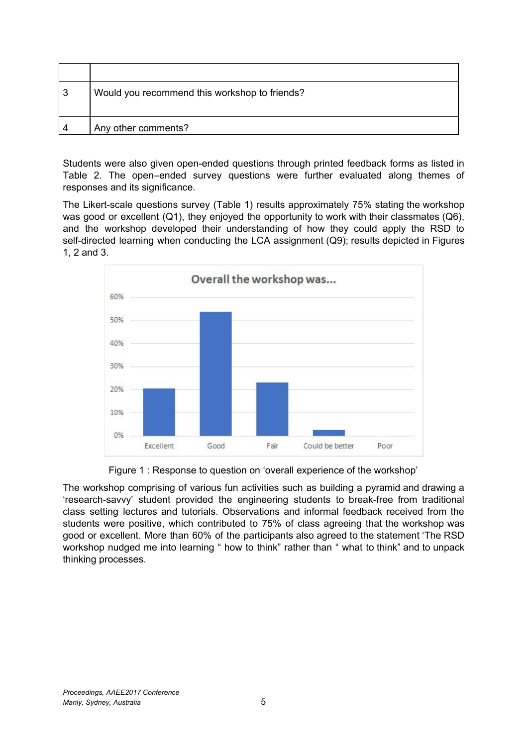| 3 | Would you recommend this workshop to friends? |
|---|-----------------------------------------------|
| Λ | Any other comments?                           |

Students were also given open-ended questions through printed feedback forms as listed in Table 2. The open–ended survey questions were further evaluated along themes of responses and its significance.

The Likert-scale questions survey (Table 1) results approximately 75% stating the workshop was good or excellent (Q1), they enjoyed the opportunity to work with their classmates (Q6), and the workshop developed their understanding of how they could apply the RSD to self-directed learning when conducting the LCA assignment (Q9); results depicted in Figures 1, 2 and 3.



Figure 1 : Response to question on 'overall experience of the workshop'

The workshop comprising of various fun activities such as building a pyramid and drawing a 'research-savvy' student provided the engineering students to break-free from traditional class setting lectures and tutorials. Observations and informal feedback received from the students were positive, which contributed to 75% of class agreeing that the workshop was good or excellent. More than 60% of the participants also agreed to the statement 'The RSD workshop nudged me into learning " how to think" rather than " what to think" and to unpack thinking processes.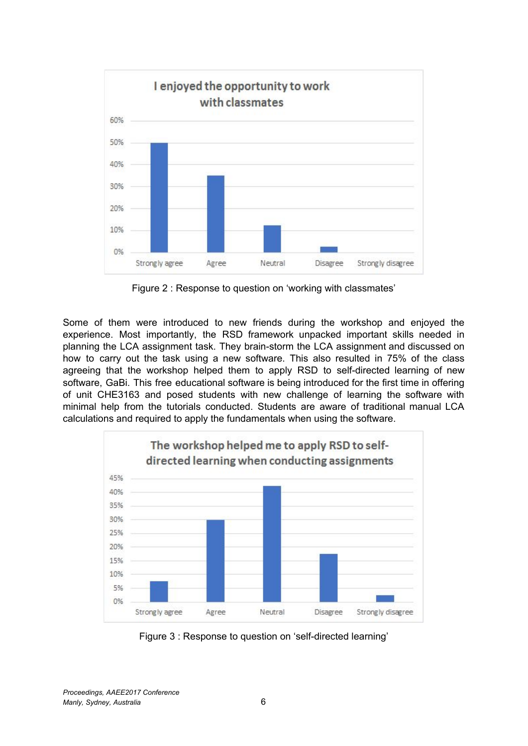

Figure 2 : Response to question on 'working with classmates'

Some of them were introduced to new friends during the workshop and enjoyed the experience. Most importantly, the RSD framework unpacked important skills needed in planning the LCA assignment task. They brain-storm the LCA assignment and discussed on how to carry out the task using a new software. This also resulted in 75% of the class agreeing that the workshop helped them to apply RSD to self-directed learning of new software, GaBi. This free educational software is being introduced for the first time in offering of unit CHE3163 and posed students with new challenge of learning the software with minimal help from the tutorials conducted. Students are aware of traditional manual LCA calculations and required to apply the fundamentals when using the software.



Figure 3 : Response to question on 'self-directed learning'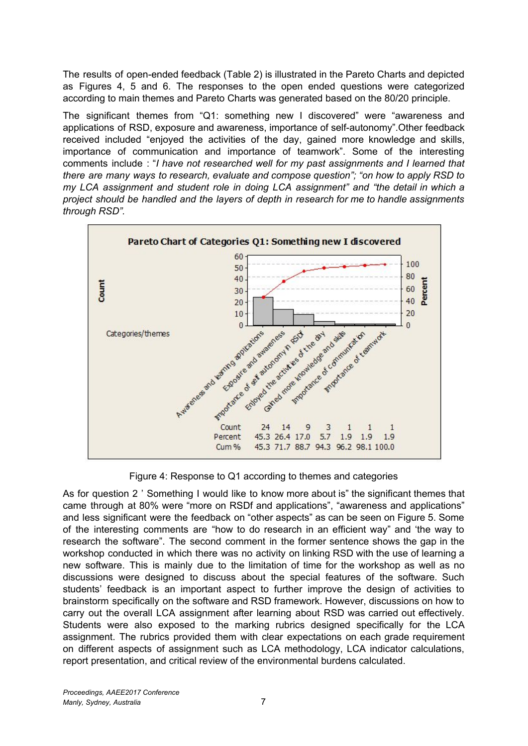The results of open-ended feedback (Table 2) is illustrated in the Pareto Charts and depicted as Figures 4, 5 and 6. The responses to the open ended questions were categorized according to main themes and Pareto Charts was generated based on the 80/20 principle.

The significant themes from "Q1: something new I discovered" were "awareness and applications of RSD, exposure and awareness, importance of self-autonomy".Other feedback received included "enjoyed the activities of the day, gained more knowledge and skills, importance of communication and importance of teamwork". Some of the interesting comments include : "*I have not researched well for my past assignments and I learned that there are many ways to research, evaluate and compose question"; "on how to apply RSD to my LCA assignment and student role in doing LCA assignment" and "the detail in which a project should be handled and the layers of depth in research for me to handle assignments through RSD".*



Figure 4: Response to Q1 according to themes and categories

As for question 2 ' Something I would like to know more about is" the significant themes that came through at 80% were "more on RSDf and applications", "awareness and applications" and less significant were the feedback on "other aspects" as can be seen on Figure 5. Some of the interesting comments are "how to do research in an efficient way" and 'the way to research the software". The second comment in the former sentence shows the gap in the workshop conducted in which there was no activity on linking RSD with the use of learning a new software. This is mainly due to the limitation of time for the workshop as well as no discussions were designed to discuss about the special features of the software. Such students' feedback is an important aspect to further improve the design of activities to brainstorm specifically on the software and RSD framework. However, discussions on how to carry out the overall LCA assignment after learning about RSD was carried out effectively. Students were also exposed to the marking rubrics designed specifically for the LCA assignment. The rubrics provided them with clear expectations on each grade requirement on different aspects of assignment such as LCA methodology, LCA indicator calculations, report presentation, and critical review of the environmental burdens calculated.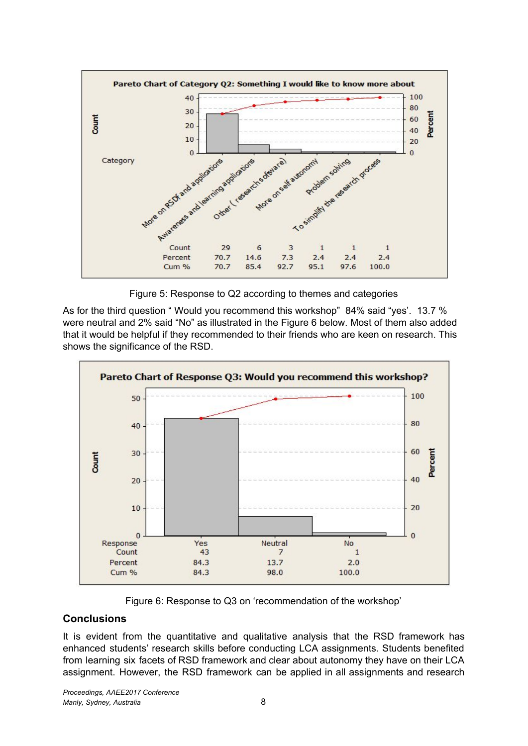

Figure 5: Response to Q2 according to themes and categories

As for the third question " Would you recommend this workshop" 84% said "yes'. 13.7 % were neutral and 2% said "No" as illustrated in the Figure 6 below. Most of them also added that it would be helpful if they recommended to their friends who are keen on research. This shows the significance of the RSD.



Figure 6: Response to Q3 on 'recommendation of the workshop'

## **Conclusions**

It is evident from the quantitative and qualitative analysis that the RSD framework has enhanced students' research skills before conducting LCA assignments. Students benefited from learning six facets of RSD framework and clear about autonomy they have on their LCA assignment. However, the RSD framework can be applied in all assignments and research